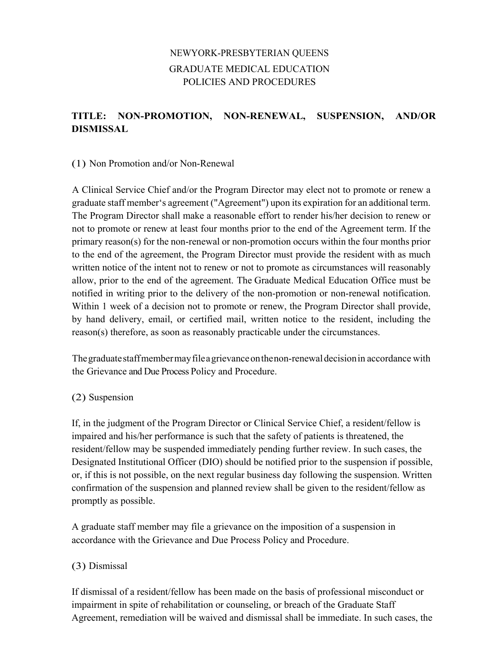# NEWYORK-PRESBYTERIAN QUEENS GRADUATE MEDICAL EDUCATION POLICIES AND PROCEDURES

## **TITLE: NON-PROMOTION, NON-RENEWAL, SUSPENSION, AND/OR DISMISSAL**

### (1) Non Promotion and/or Non-Renewal

A Clinical Service Chief and/or the Program Director may elect not to promote or renew a graduate staff member's agreement ("Agreement") upon its expiration for an additional term. The Program Director shall make a reasonable effort to render his/her decision to renew or not to promote or renew at least four months prior to the end of the Agreement term. If the primary reason(s) for the non-renewal or non-promotion occurs within the four months prior to the end of the agreement, the Program Director must provide the resident with as much written notice of the intent not to renew or not to promote as circumstances will reasonably allow, prior to the end of the agreement. The Graduate Medical Education Office must be notified in writing prior to the delivery of the non-promotion or non-renewal notification. Within 1 week of a decision not to promote or renew, the Program Director shall provide, by hand delivery, email, or certified mail, written notice to the resident, including the reason(s) therefore, as soon as reasonably practicable under the circumstances.

Thegraduatestaffmembermayfileagrievanceonthenon-renewaldecisionin accordance with the Grievance and Due Process Policy and Procedure.

#### (2) Suspension

If, in the judgment of the Program Director or Clinical Service Chief, a resident/fellow is impaired and his/her performance is such that the safety of patients is threatened, the resident/fellow may be suspended immediately pending further review. In such cases, the Designated Institutional Officer (DIO) should be notified prior to the suspension if possible, or, if this is not possible, on the next regular business day following the suspension. Written confirmation of the suspension and planned review shall be given to the resident/fellow as promptly as possible.

A graduate staff member may file a grievance on the imposition of a suspension in accordance with the Grievance and Due Process Policy and Procedure.

### (3) Dismissal

If dismissal of a resident/fellow has been made on the basis of professional misconduct or impairment in spite of rehabilitation or counseling, or breach of the Graduate Staff Agreement, remediation will be waived and dismissal shall be immediate. In such cases, the